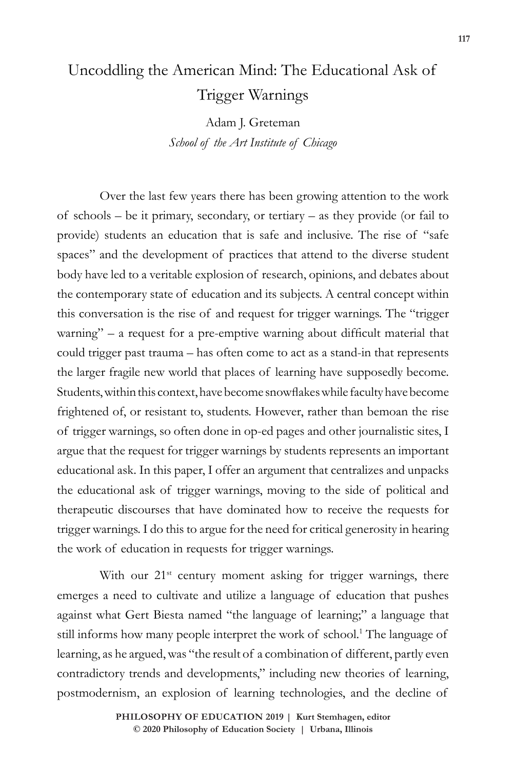# Uncoddling the American Mind: The Educational Ask of Trigger Warnings

Adam J. Greteman *School of the Art Institute of Chicago*

Over the last few years there has been growing attention to the work of schools – be it primary, secondary, or tertiary – as they provide (or fail to provide) students an education that is safe and inclusive. The rise of "safe spaces" and the development of practices that attend to the diverse student body have led to a veritable explosion of research, opinions, and debates about the contemporary state of education and its subjects. A central concept within this conversation is the rise of and request for trigger warnings. The "trigger warning" – a request for a pre-emptive warning about difficult material that could trigger past trauma – has often come to act as a stand-in that represents the larger fragile new world that places of learning have supposedly become. Students, within this context, have become snowflakes while faculty have become frightened of, or resistant to, students. However, rather than bemoan the rise of trigger warnings, so often done in op-ed pages and other journalistic sites, I argue that the request for trigger warnings by students represents an important educational ask. In this paper, I offer an argument that centralizes and unpacks the educational ask of trigger warnings, moving to the side of political and therapeutic discourses that have dominated how to receive the requests for trigger warnings. I do this to argue for the need for critical generosity in hearing the work of education in requests for trigger warnings.

With our 21<sup>st</sup> century moment asking for trigger warnings, there emerges a need to cultivate and utilize a language of education that pushes against what Gert Biesta named "the language of learning;" a language that still informs how many people interpret the work of school.<sup>1</sup> The language of learning, as he argued, was "the result of a combination of different, partly even contradictory trends and developments," including new theories of learning, postmodernism, an explosion of learning technologies, and the decline of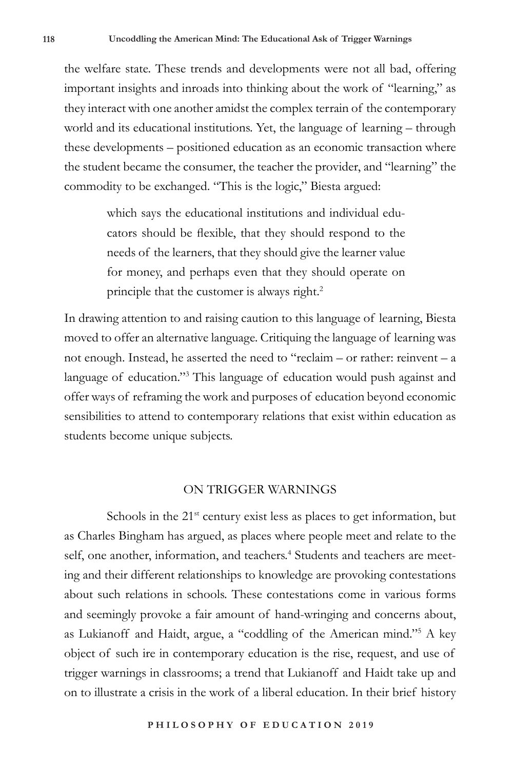the welfare state. These trends and developments were not all bad, offering important insights and inroads into thinking about the work of "learning," as they interact with one another amidst the complex terrain of the contemporary world and its educational institutions. Yet, the language of learning – through these developments – positioned education as an economic transaction where the student became the consumer, the teacher the provider, and "learning" the commodity to be exchanged. "This is the logic," Biesta argued:

> which says the educational institutions and individual educators should be flexible, that they should respond to the needs of the learners, that they should give the learner value for money, and perhaps even that they should operate on principle that the customer is always right.<sup>2</sup>

In drawing attention to and raising caution to this language of learning, Biesta moved to offer an alternative language. Critiquing the language of learning was not enough. Instead, he asserted the need to "reclaim – or rather: reinvent – a language of education."<sup>3</sup> This language of education would push against and offer ways of reframing the work and purposes of education beyond economic sensibilities to attend to contemporary relations that exist within education as students become unique subjects.

## ON TRIGGER WARNINGS

Schools in the  $21^{st}$  century exist less as places to get information, but as Charles Bingham has argued, as places where people meet and relate to the self, one another, information, and teachers.<sup>4</sup> Students and teachers are meeting and their different relationships to knowledge are provoking contestations about such relations in schools. These contestations come in various forms and seemingly provoke a fair amount of hand-wringing and concerns about, as Lukianoff and Haidt, argue, a "coddling of the American mind."5 A key object of such ire in contemporary education is the rise, request, and use of trigger warnings in classrooms; a trend that Lukianoff and Haidt take up and on to illustrate a crisis in the work of a liberal education. In their brief history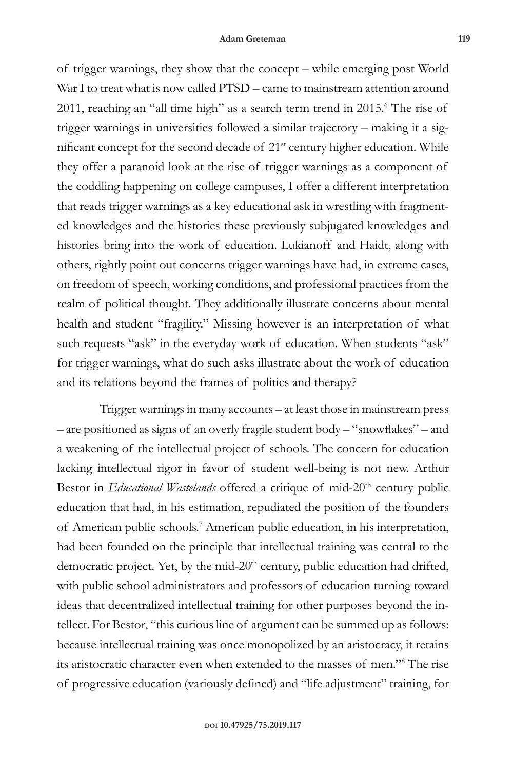of trigger warnings, they show that the concept – while emerging post World War I to treat what is now called PTSD – came to mainstream attention around 2011, reaching an "all time high" as a search term trend in 2015.<sup>6</sup> The rise of trigger warnings in universities followed a similar trajectory – making it a significant concept for the second decade of 21<sup>st</sup> century higher education. While they offer a paranoid look at the rise of trigger warnings as a component of the coddling happening on college campuses, I offer a different interpretation that reads trigger warnings as a key educational ask in wrestling with fragmented knowledges and the histories these previously subjugated knowledges and histories bring into the work of education. Lukianoff and Haidt, along with others, rightly point out concerns trigger warnings have had, in extreme cases, on freedom of speech, working conditions, and professional practices from the realm of political thought. They additionally illustrate concerns about mental health and student "fragility." Missing however is an interpretation of what such requests "ask" in the everyday work of education. When students "ask" for trigger warnings, what do such asks illustrate about the work of education and its relations beyond the frames of politics and therapy?

Trigger warnings in many accounts – at least those in mainstream press – are positioned as signs of an overly fragile student body – "snowflakes" – and a weakening of the intellectual project of schools. The concern for education lacking intellectual rigor in favor of student well-being is not new. Arthur Bestor in *Educational Wastelands* offered a critique of mid-20<sup>th</sup> century public education that had, in his estimation, repudiated the position of the founders of American public schools.7 American public education, in his interpretation, had been founded on the principle that intellectual training was central to the democratic project. Yet, by the mid-20<sup>th</sup> century, public education had drifted, with public school administrators and professors of education turning toward ideas that decentralized intellectual training for other purposes beyond the intellect. For Bestor, "this curious line of argument can be summed up as follows: because intellectual training was once monopolized by an aristocracy, it retains its aristocratic character even when extended to the masses of men."8 The rise of progressive education (variously defined) and "life adjustment" training, for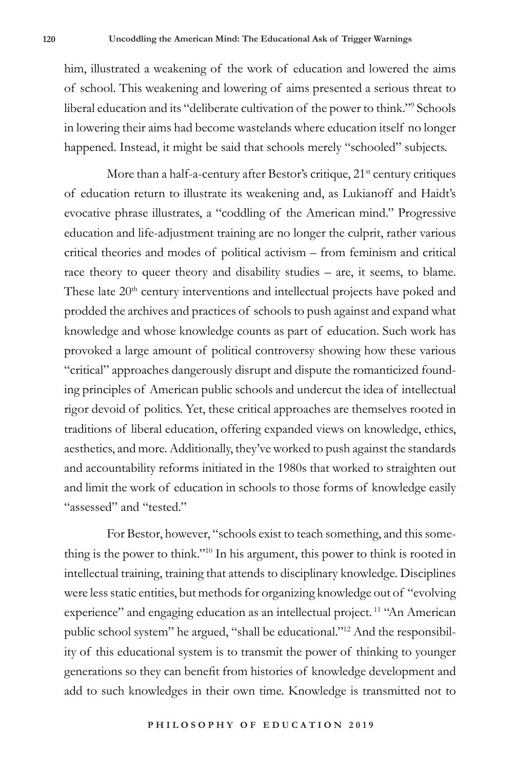him, illustrated a weakening of the work of education and lowered the aims of school. This weakening and lowering of aims presented a serious threat to liberal education and its "deliberate cultivation of the power to think."<sup>9</sup> Schools in lowering their aims had become wastelands where education itself no longer happened. Instead, it might be said that schools merely "schooled" subjects.

More than a half-a-century after Bestor's critique, 21<sup>st</sup> century critiques of education return to illustrate its weakening and, as Lukianoff and Haidt's evocative phrase illustrates, a "coddling of the American mind." Progressive education and life-adjustment training are no longer the culprit, rather various critical theories and modes of political activism – from feminism and critical race theory to queer theory and disability studies – are, it seems, to blame. These late 20<sup>th</sup> century interventions and intellectual projects have poked and prodded the archives and practices of schools to push against and expand what knowledge and whose knowledge counts as part of education. Such work has provoked a large amount of political controversy showing how these various "critical" approaches dangerously disrupt and dispute the romanticized founding principles of American public schools and undercut the idea of intellectual rigor devoid of politics. Yet, these critical approaches are themselves rooted in traditions of liberal education, offering expanded views on knowledge, ethics, aesthetics, and more. Additionally, they've worked to push against the standards and accountability reforms initiated in the 1980s that worked to straighten out and limit the work of education in schools to those forms of knowledge easily "assessed" and "tested."

For Bestor, however, "schools exist to teach something, and this something is the power to think."10 In his argument, this power to think is rooted in intellectual training, training that attends to disciplinary knowledge. Disciplines were less static entities, but methods for organizing knowledge out of "evolving experience" and engaging education as an intellectual project.<sup>11</sup> "An American public school system" he argued, "shall be educational."<sup>12</sup> And the responsibility of this educational system is to transmit the power of thinking to younger generations so they can benefit from histories of knowledge development and add to such knowledges in their own time. Knowledge is transmitted not to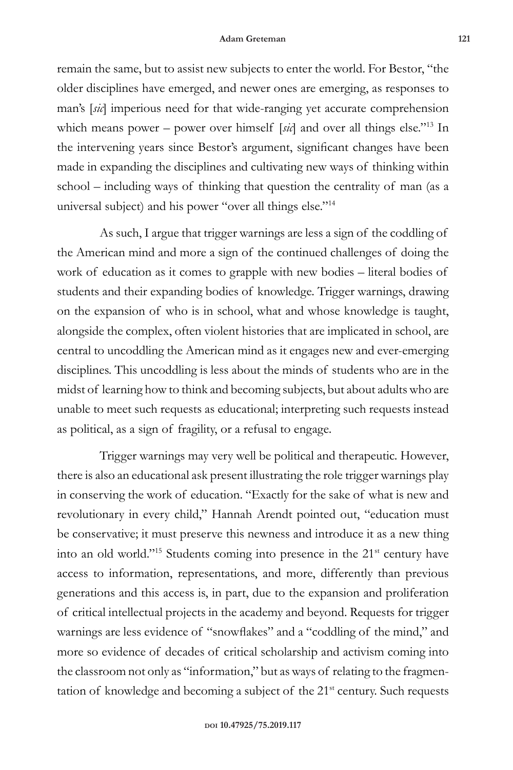#### **Adam Greteman 121**

remain the same, but to assist new subjects to enter the world. For Bestor, "the older disciplines have emerged, and newer ones are emerging, as responses to man's [*sic*] imperious need for that wide-ranging yet accurate comprehension which means power – power over himself [sic] and over all things else."<sup>13</sup> In the intervening years since Bestor's argument, significant changes have been made in expanding the disciplines and cultivating new ways of thinking within school – including ways of thinking that question the centrality of man (as a universal subject) and his power "over all things else."14

As such, I argue that trigger warnings are less a sign of the coddling of the American mind and more a sign of the continued challenges of doing the work of education as it comes to grapple with new bodies – literal bodies of students and their expanding bodies of knowledge. Trigger warnings, drawing on the expansion of who is in school, what and whose knowledge is taught, alongside the complex, often violent histories that are implicated in school, are central to uncoddling the American mind as it engages new and ever-emerging disciplines. This uncoddling is less about the minds of students who are in the midst of learning how to think and becoming subjects, but about adults who are unable to meet such requests as educational; interpreting such requests instead as political, as a sign of fragility, or a refusal to engage.

Trigger warnings may very well be political and therapeutic. However, there is also an educational ask present illustrating the role trigger warnings play in conserving the work of education. "Exactly for the sake of what is new and revolutionary in every child," Hannah Arendt pointed out, "education must be conservative; it must preserve this newness and introduce it as a new thing into an old world."15 Students coming into presence in the 21st century have access to information, representations, and more, differently than previous generations and this access is, in part, due to the expansion and proliferation of critical intellectual projects in the academy and beyond. Requests for trigger warnings are less evidence of "snowflakes" and a "coddling of the mind," and more so evidence of decades of critical scholarship and activism coming into the classroom not only as "information," but as ways of relating to the fragmentation of knowledge and becoming a subject of the 21<sup>st</sup> century. Such requests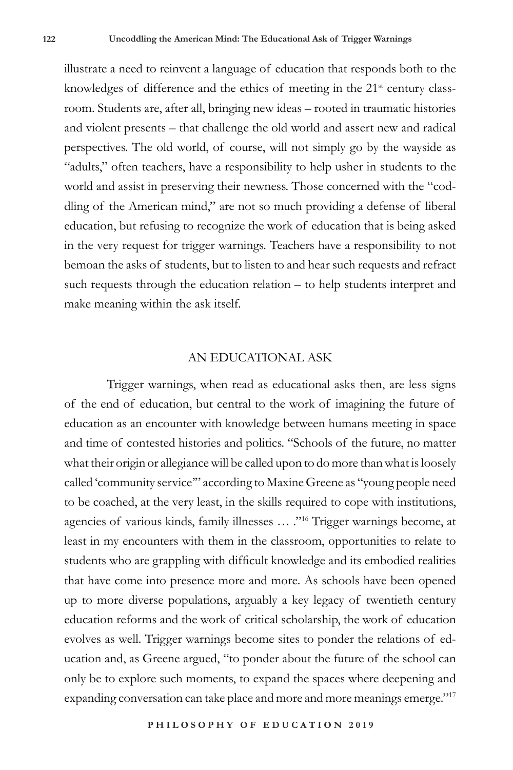illustrate a need to reinvent a language of education that responds both to the knowledges of difference and the ethics of meeting in the  $21<sup>st</sup>$  century classroom. Students are, after all, bringing new ideas – rooted in traumatic histories and violent presents – that challenge the old world and assert new and radical perspectives. The old world, of course, will not simply go by the wayside as "adults," often teachers, have a responsibility to help usher in students to the world and assist in preserving their newness. Those concerned with the "coddling of the American mind," are not so much providing a defense of liberal education, but refusing to recognize the work of education that is being asked in the very request for trigger warnings. Teachers have a responsibility to not bemoan the asks of students, but to listen to and hear such requests and refract such requests through the education relation – to help students interpret and make meaning within the ask itself.

### AN EDUCATIONAL ASK

Trigger warnings, when read as educational asks then, are less signs of the end of education, but central to the work of imagining the future of education as an encounter with knowledge between humans meeting in space and time of contested histories and politics. "Schools of the future, no matter what their origin or allegiance will be called upon to do more than what is loosely called 'community service'" according to Maxine Greene as "young people need to be coached, at the very least, in the skills required to cope with institutions, agencies of various kinds, family illnesses … ."16 Trigger warnings become, at least in my encounters with them in the classroom, opportunities to relate to students who are grappling with difficult knowledge and its embodied realities that have come into presence more and more. As schools have been opened up to more diverse populations, arguably a key legacy of twentieth century education reforms and the work of critical scholarship, the work of education evolves as well. Trigger warnings become sites to ponder the relations of education and, as Greene argued, "to ponder about the future of the school can only be to explore such moments, to expand the spaces where deepening and expanding conversation can take place and more and more meanings emerge."17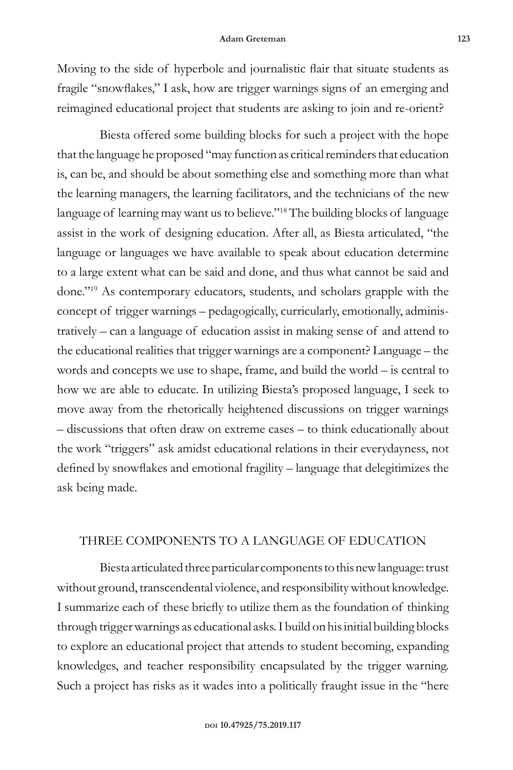Moving to the side of hyperbole and journalistic flair that situate students as fragile "snowflakes," I ask, how are trigger warnings signs of an emerging and reimagined educational project that students are asking to join and re-orient?

Biesta offered some building blocks for such a project with the hope that the language he proposed "may function as critical reminders that education is, can be, and should be about something else and something more than what the learning managers, the learning facilitators, and the technicians of the new language of learning may want us to believe."<sup>18</sup> The building blocks of language assist in the work of designing education. After all, as Biesta articulated, "the language or languages we have available to speak about education determine to a large extent what can be said and done, and thus what cannot be said and done."19 As contemporary educators, students, and scholars grapple with the concept of trigger warnings – pedagogically, curricularly, emotionally, administratively – can a language of education assist in making sense of and attend to the educational realities that trigger warnings are a component? Language – the words and concepts we use to shape, frame, and build the world – is central to how we are able to educate. In utilizing Biesta's proposed language, I seek to move away from the rhetorically heightened discussions on trigger warnings – discussions that often draw on extreme cases – to think educationally about the work "triggers" ask amidst educational relations in their everydayness, not defined by snowflakes and emotional fragility – language that delegitimizes the ask being made.

# THREE COMPONENTS TO A LANGUAGE OF EDUCATION

Biesta articulated three particular components to this new language: trust without ground, transcendental violence, and responsibility without knowledge. I summarize each of these briefly to utilize them as the foundation of thinking through trigger warnings as educational asks. I build on his initial building blocks to explore an educational project that attends to student becoming, expanding knowledges, and teacher responsibility encapsulated by the trigger warning. Such a project has risks as it wades into a politically fraught issue in the "here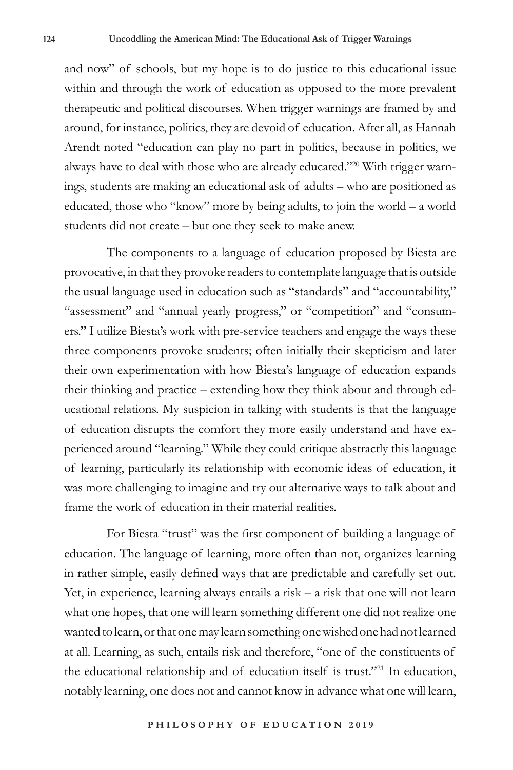and now" of schools, but my hope is to do justice to this educational issue within and through the work of education as opposed to the more prevalent therapeutic and political discourses. When trigger warnings are framed by and around, for instance, politics, they are devoid of education. After all, as Hannah Arendt noted "education can play no part in politics, because in politics, we always have to deal with those who are already educated."20 With trigger warnings, students are making an educational ask of adults – who are positioned as educated, those who "know" more by being adults, to join the world – a world students did not create – but one they seek to make anew.

The components to a language of education proposed by Biesta are provocative, in that they provoke readers to contemplate language that is outside the usual language used in education such as "standards" and "accountability," "assessment" and "annual yearly progress," or "competition" and "consumers." I utilize Biesta's work with pre-service teachers and engage the ways these three components provoke students; often initially their skepticism and later their own experimentation with how Biesta's language of education expands their thinking and practice – extending how they think about and through educational relations. My suspicion in talking with students is that the language of education disrupts the comfort they more easily understand and have experienced around "learning." While they could critique abstractly this language of learning, particularly its relationship with economic ideas of education, it was more challenging to imagine and try out alternative ways to talk about and frame the work of education in their material realities.

For Biesta "trust" was the first component of building a language of education. The language of learning, more often than not, organizes learning in rather simple, easily defined ways that are predictable and carefully set out. Yet, in experience, learning always entails a risk – a risk that one will not learn what one hopes, that one will learn something different one did not realize one wanted to learn, or that one may learn something one wished one had not learned at all. Learning, as such, entails risk and therefore, "one of the constituents of the educational relationship and of education itself is trust."21 In education, notably learning, one does not and cannot know in advance what one will learn,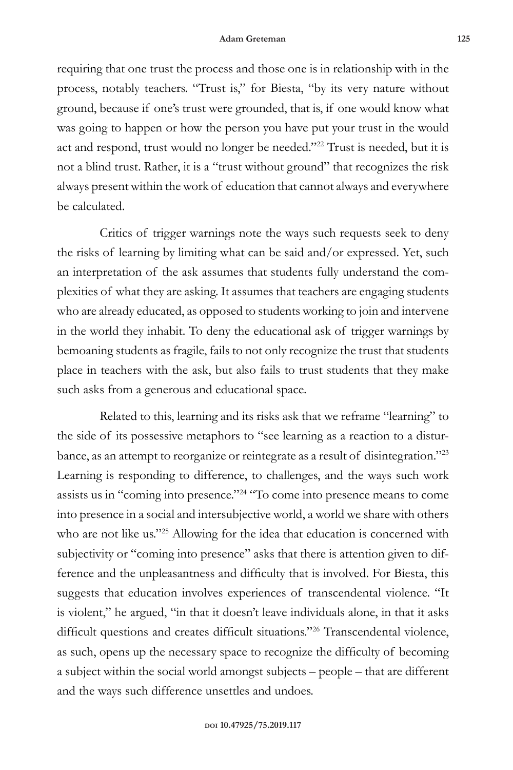requiring that one trust the process and those one is in relationship with in the process, notably teachers. "Trust is," for Biesta, "by its very nature without ground, because if one's trust were grounded, that is, if one would know what was going to happen or how the person you have put your trust in the would act and respond, trust would no longer be needed."<sup>22</sup> Trust is needed, but it is not a blind trust. Rather, it is a "trust without ground" that recognizes the risk always present within the work of education that cannot always and everywhere be calculated.

Critics of trigger warnings note the ways such requests seek to deny the risks of learning by limiting what can be said and/or expressed. Yet, such an interpretation of the ask assumes that students fully understand the complexities of what they are asking. It assumes that teachers are engaging students who are already educated, as opposed to students working to join and intervene in the world they inhabit. To deny the educational ask of trigger warnings by bemoaning students as fragile, fails to not only recognize the trust that students place in teachers with the ask, but also fails to trust students that they make such asks from a generous and educational space.

Related to this, learning and its risks ask that we reframe "learning" to the side of its possessive metaphors to "see learning as a reaction to a disturbance, as an attempt to reorganize or reintegrate as a result of disintegration."<sup>23</sup> Learning is responding to difference, to challenges, and the ways such work assists us in "coming into presence."24 "To come into presence means to come into presence in a social and intersubjective world, a world we share with others who are not like us."<sup>25</sup> Allowing for the idea that education is concerned with subjectivity or "coming into presence" asks that there is attention given to difference and the unpleasantness and difficulty that is involved. For Biesta, this suggests that education involves experiences of transcendental violence. "It is violent," he argued, "in that it doesn't leave individuals alone, in that it asks difficult questions and creates difficult situations."26 Transcendental violence, as such, opens up the necessary space to recognize the difficulty of becoming a subject within the social world amongst subjects – people – that are different and the ways such difference unsettles and undoes.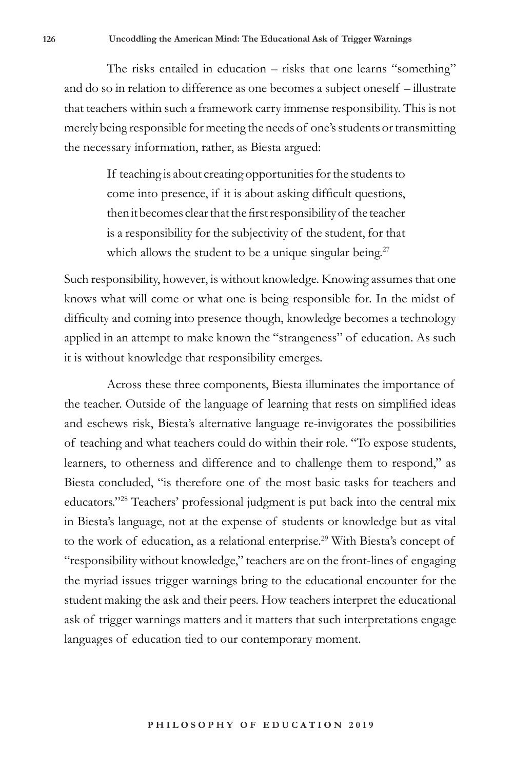The risks entailed in education – risks that one learns "something" and do so in relation to difference as one becomes a subject oneself – illustrate that teachers within such a framework carry immense responsibility. This is not merely being responsible for meeting the needs of one's students or transmitting the necessary information, rather, as Biesta argued:

> If teaching is about creating opportunities for the students to come into presence, if it is about asking difficult questions, then it becomes clear that the first responsibility of the teacher is a responsibility for the subjectivity of the student, for that which allows the student to be a unique singular being.<sup>27</sup>

Such responsibility, however, is without knowledge. Knowing assumes that one knows what will come or what one is being responsible for. In the midst of difficulty and coming into presence though, knowledge becomes a technology applied in an attempt to make known the "strangeness" of education. As such it is without knowledge that responsibility emerges.

Across these three components, Biesta illuminates the importance of the teacher. Outside of the language of learning that rests on simplified ideas and eschews risk, Biesta's alternative language re-invigorates the possibilities of teaching and what teachers could do within their role. "To expose students, learners, to otherness and difference and to challenge them to respond," as Biesta concluded, "is therefore one of the most basic tasks for teachers and educators."28 Teachers' professional judgment is put back into the central mix in Biesta's language, not at the expense of students or knowledge but as vital to the work of education, as a relational enterprise.<sup>29</sup> With Biesta's concept of "responsibility without knowledge," teachers are on the front-lines of engaging the myriad issues trigger warnings bring to the educational encounter for the student making the ask and their peers. How teachers interpret the educational ask of trigger warnings matters and it matters that such interpretations engage languages of education tied to our contemporary moment.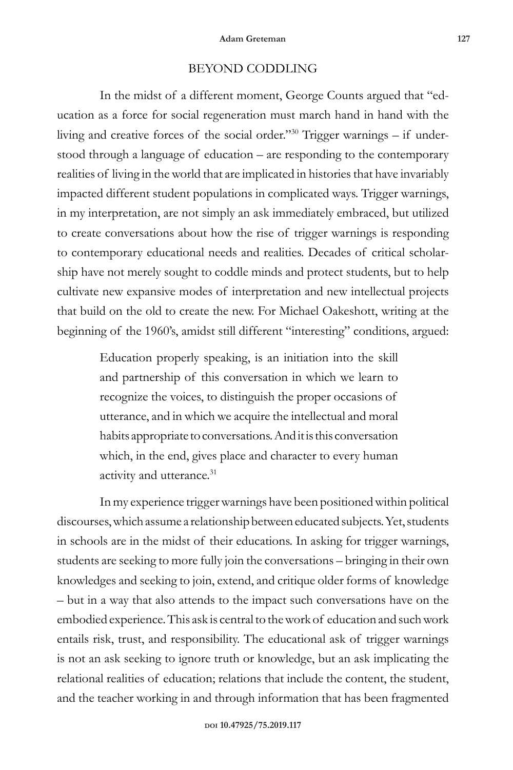### BEYOND CODDLING

In the midst of a different moment, George Counts argued that "education as a force for social regeneration must march hand in hand with the living and creative forces of the social order."30 Trigger warnings – if understood through a language of education – are responding to the contemporary realities of living in the world that are implicated in histories that have invariably impacted different student populations in complicated ways. Trigger warnings, in my interpretation, are not simply an ask immediately embraced, but utilized to create conversations about how the rise of trigger warnings is responding to contemporary educational needs and realities. Decades of critical scholarship have not merely sought to coddle minds and protect students, but to help cultivate new expansive modes of interpretation and new intellectual projects that build on the old to create the new. For Michael Oakeshott, writing at the beginning of the 1960's, amidst still different "interesting" conditions, argued:

> Education properly speaking, is an initiation into the skill and partnership of this conversation in which we learn to recognize the voices, to distinguish the proper occasions of utterance, and in which we acquire the intellectual and moral habits appropriate to conversations. And it is this conversation which, in the end, gives place and character to every human activity and utterance.<sup>31</sup>

In my experience trigger warnings have been positioned within political discourses, which assume a relationship between educated subjects. Yet, students in schools are in the midst of their educations. In asking for trigger warnings, students are seeking to more fully join the conversations – bringing in their own knowledges and seeking to join, extend, and critique older forms of knowledge – but in a way that also attends to the impact such conversations have on the embodied experience. This ask is central to the work of education and such work entails risk, trust, and responsibility. The educational ask of trigger warnings is not an ask seeking to ignore truth or knowledge, but an ask implicating the relational realities of education; relations that include the content, the student, and the teacher working in and through information that has been fragmented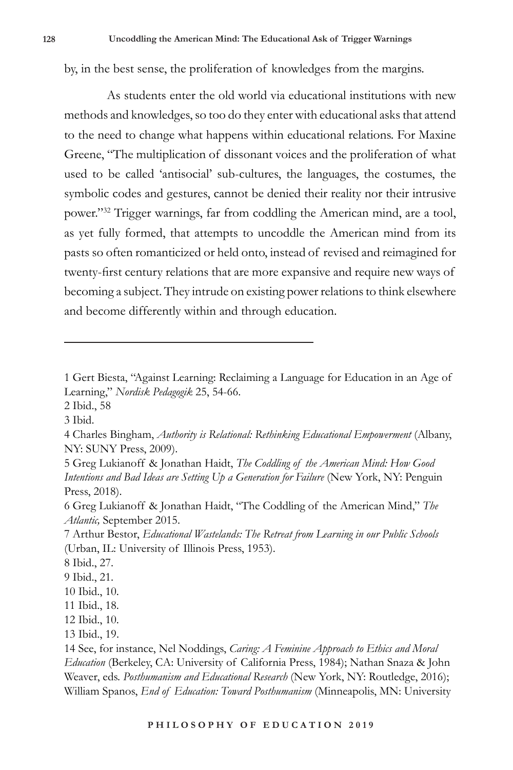by, in the best sense, the proliferation of knowledges from the margins.

As students enter the old world via educational institutions with new methods and knowledges, so too do they enter with educational asks that attend to the need to change what happens within educational relations. For Maxine Greene, "The multiplication of dissonant voices and the proliferation of what used to be called 'antisocial' sub-cultures, the languages, the costumes, the symbolic codes and gestures, cannot be denied their reality nor their intrusive power."32 Trigger warnings, far from coddling the American mind, are a tool, as yet fully formed, that attempts to uncoddle the American mind from its pasts so often romanticized or held onto, instead of revised and reimagined for twenty-first century relations that are more expansive and require new ways of becoming a subject. They intrude on existing power relations to think elsewhere and become differently within and through education.

2 Ibid., 58

3 Ibid.

<sup>1</sup> Gert Biesta, "Against Learning: Reclaiming a Language for Education in an Age of Learning," *Nordisk Pedagogik* 25, 54-66.

<sup>4</sup> Charles Bingham, *Authority is Relational: Rethinking Educational Empowerment* (Albany, NY: SUNY Press, 2009).

<sup>5</sup> Greg Lukianoff & Jonathan Haidt, *The Coddling of the American Mind: How Good Intentions and Bad Ideas are Setting Up a Generation for Failure* (New York, NY: Penguin Press, 2018).

<sup>6</sup> Greg Lukianoff & Jonathan Haidt, "The Coddling of the American Mind," *The Atlantic,* September 2015.

<sup>7</sup> Arthur Bestor, *Educational Wastelands: The Retreat from Learning in our Public Schools*  (Urban, IL: University of Illinois Press, 1953).

<sup>8</sup> Ibid., 27.

<sup>9</sup> Ibid., 21.

<sup>10</sup> Ibid., 10.

<sup>11</sup> Ibid., 18.

<sup>12</sup> Ibid., 10.

<sup>13</sup> Ibid., 19.

<sup>14</sup> See, for instance, Nel Noddings, *Caring: A Feminine Approach to Ethics and Moral Education* (Berkeley, CA: University of California Press, 1984); Nathan Snaza & John Weaver, eds. *Posthumanism and Educational Research* (New York, NY: Routledge, 2016); William Spanos, *End of Education: Toward Posthumanism* (Minneapolis, MN: University